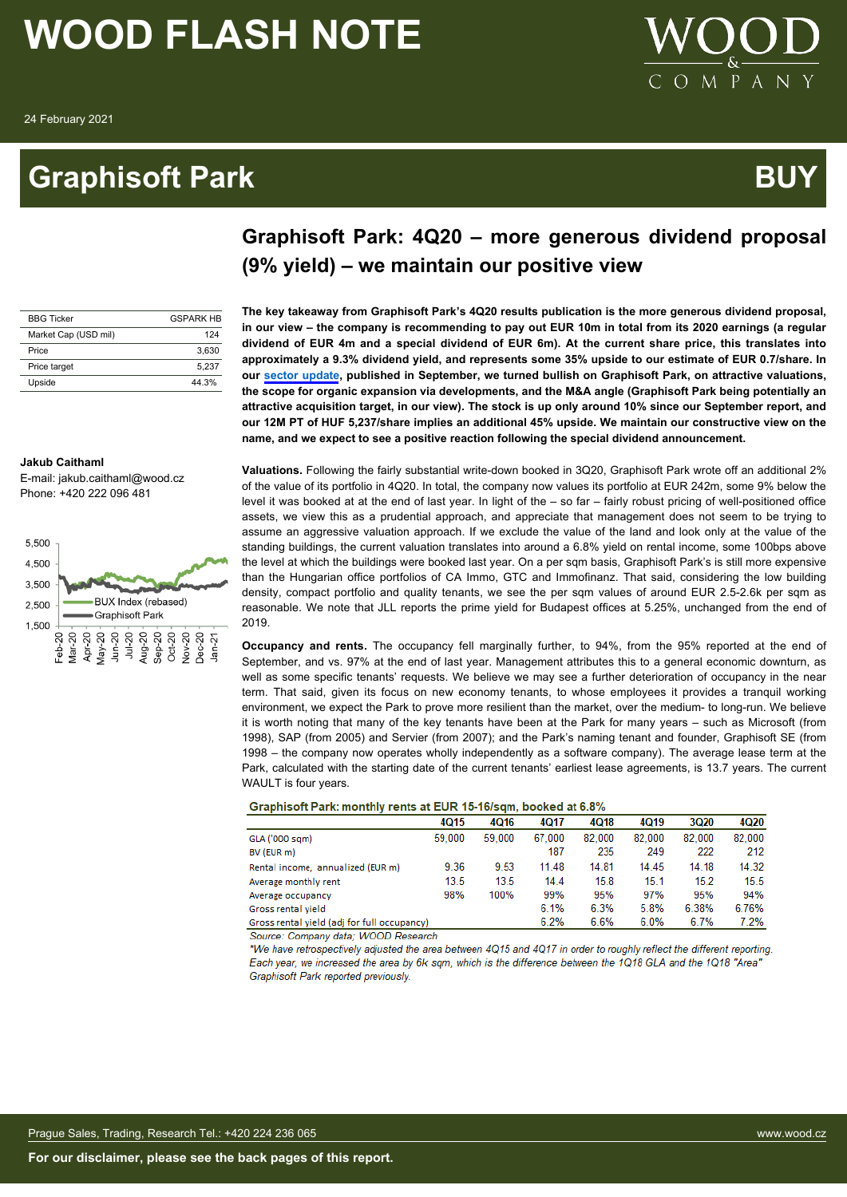### **Graphisoft Park BUY**



| <b>BBG Ticker</b>    | <b>GSPARK HR</b> |
|----------------------|------------------|
| Market Cap (USD mil) | 124              |
| Price                | 3.630            |
| Price target         | 5.237            |
| Upside               | 44.3%            |

#### **The key takeaway from Graphisoft Park's 4Q20 results publication is the more generous dividend proposal, in our view – the company is recommending to pay out EUR 10m in total from its 2020 earnings (a regular dividend of EUR 4m and a special dividend of EUR 6m). At the current share price, this translates into approximately a 9.3% dividend yield, and represents some 35% upside to our estimate of EUR 0.7/share. In our [sector update](https://research.wood.cz/go/df816b6e-4861-448e-aee8-d57f6e70eb4d/CEE_Real%20Estate_Coverage%20Universe_Update_10Sept2020.pdf), published in September, we turned bullish on Graphisoft Park, on attractive valuations, the scope for organic expansion via developments, and the M&A angle (Graphisoft Park being potentially an**

**attractive acquisition target, in our view). The stock is up only around 10% since our September report, and our 12M PT of HUF 5,237/share implies an additional 45% upside. We maintain our constructive view on the**

**name, and we expect to see a positive reaction following the special dividend announcement.**

**Graphisoft Park: 4Q20 – more generous dividend proposal**

**(9% yield) – we maintain our positive view**

#### **Jakub Caithaml**

E-mail: jakub.caithaml@wood.cz Phone: +420 222 096 481



**Valuations.** Following the fairly substantial write-down booked in 3Q20, Graphisoft Park wrote off an additional 2% of the value of its portfolio in 4Q20. In total, the company now values its portfolio at EUR 242m, some 9% below the level it was booked at at the end of last year. In light of the – so far – fairly robust pricing of well-positioned office assets, we view this as a prudential approach, and appreciate that management does not seem to be trying to assume an aggressive valuation approach. If we exclude the value of the land and look only at the value of the standing buildings, the current valuation translates into around a 6.8% yield on rental income, some 100bps above the level at which the buildings were booked last year. On a per sqm basis, Graphisoft Park's is still more expensive than the Hungarian office portfolios of CA Immo, GTC and Immofinanz. That said, considering the low building density, compact portfolio and quality tenants, we see the per sqm values of around EUR 2.5-2.6k per sqm as reasonable. We note that JLL reports the prime yield for Budapest offices at 5.25%, unchanged from the end of 2019.

**Occupancy and rents.** The occupancy fell marginally further, to 94%, from the 95% reported at the end of September, and vs. 97% at the end of last year. Management attributes this to a general economic downturn, as well as some specific tenants' requests. We believe we may see a further deterioration of occupancy in the near term. That said, given its focus on new economy tenants, to whose employees it provides a tranquil working environment, we expect the Park to prove more resilient than the market, over the medium- to long-run. We believe it is worth noting that many of the key tenants have been at the Park for many years – such as Microsoft (from 1998), SAP (from 2005) and Servier (from 2007); and the Park's naming tenant and founder, Graphisoft SE (from 1998 – the company now operates wholly independently as a software company). The average lease term at the Park, calculated with the starting date of the current tenants' earliest lease agreements, is 13.7 years. The current WAULT is four years.

#### Graphisoft Park: monthly rents at EUR 15-16/sqm, booked at 6.8%

|                                             | 4015   | 4016   | 4017   | 4Q18   | <b>4Q19</b> | 3Q20   | 4020   |
|---------------------------------------------|--------|--------|--------|--------|-------------|--------|--------|
| GLA ('000 sqm)                              | 59,000 | 59,000 | 67.000 | 82.000 | 82.000      | 82.000 | 82.000 |
| BV (EUR m)                                  |        |        | 187    | 235    | 249         | 222    | 212    |
| Rental income, annualized (EUR m)           | 9.36   | 9.53   | 11.48  | 14.81  | 14.45       | 14.18  | 14.32  |
| Average monthly rent                        | 13.5   | 13.5   | 14.4   | 15.8   | 15.1        | 15.2   | 15.5   |
| Average occupancy                           | 98%    | 100%   | 99%    | 95%    | 97%         | 95%    | 94%    |
| Gross rental vield                          |        |        | 6.1%   | 6.3%   | 5.8%        | 6.38%  | 6.76%  |
| Gross rental yield (adj for full occupancy) |        |        | 6.2%   | 6.6%   | 6.0%        | 6.7%   | 7.2%   |

Source: Company data; WOOD Research

\*We have retrospectively adjusted the area between 4Q15 and 4Q17 in order to roughly reflect the different reporting Each year, we increased the area by 6k sqm, which is the difference between the 1Q18 GLA and the 1Q18 "Area" Graphisoft Park reported previously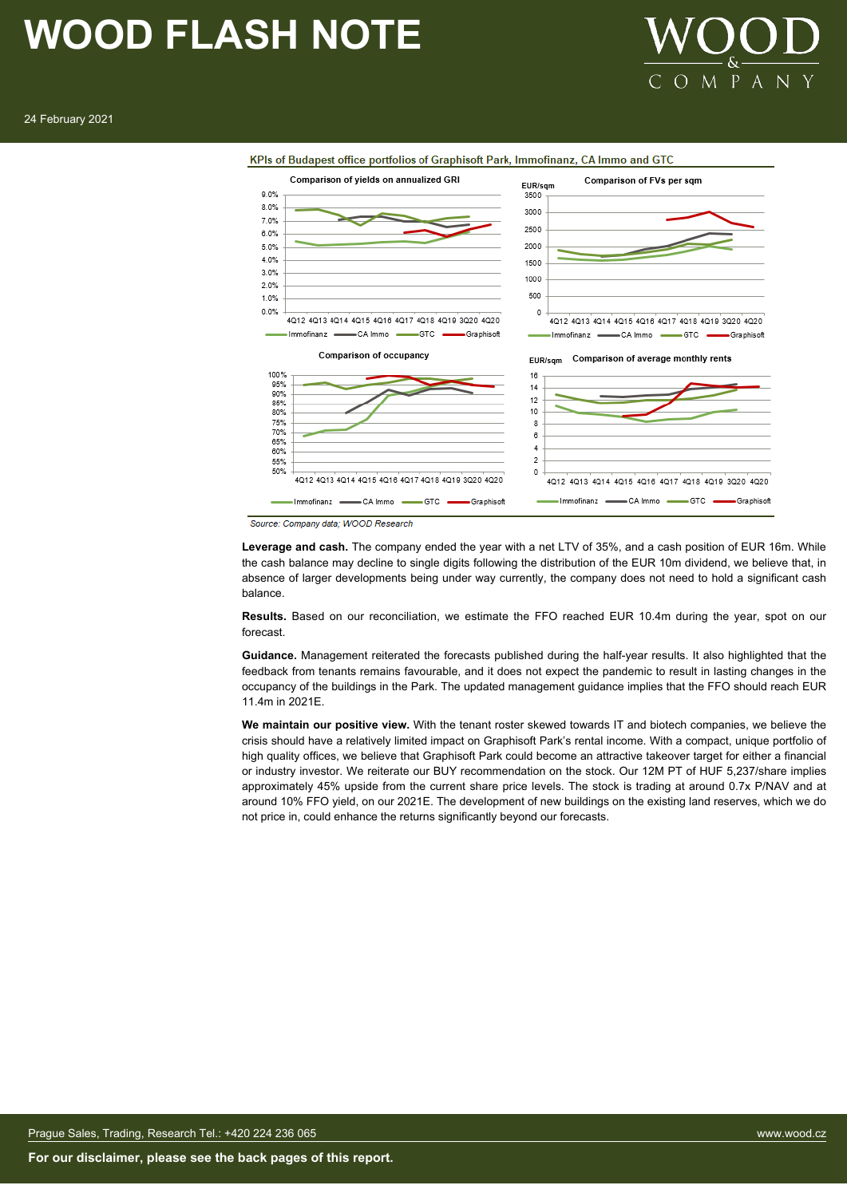







Source: Company data; WOOD Research

**Leverage and cash.** The company ended the year with a net LTV of 35%, and a cash position of EUR 16m. While the cash balance may decline to single digits following the distribution of the EUR 10m dividend, we believe that, in absence of larger developments being under way currently, the company does not need to hold a significant cash balance.

**Results.** Based on our reconciliation, we estimate the FFO reached EUR 10.4m during the year, spot on our forecast.

**Guidance.** Management reiterated the forecasts published during the half-year results. It also highlighted that the feedback from tenants remains favourable, and it does not expect the pandemic to result in lasting changes in the occupancy of the buildings in the Park. The updated management guidance implies that the FFO should reach EUR 11.4m in 2021E.

**We maintain our positive view.** With the tenant roster skewed towards IT and biotech companies, we believe the crisis should have a relatively limited impact on Graphisoft Park's rental income. With a compact, unique portfolio of high quality offices, we believe that Graphisoft Park could become an attractive takeover target for either a financial or industry investor. We reiterate our BUY recommendation on the stock. Our 12M PT of HUF 5,237/share implies approximately 45% upside from the current share price levels. The stock is trading at around 0.7x P/NAV and at around 10% FFO yield, on our 2021E. The development of new buildings on the existing land reserves, which we do not price in, could enhance the returns significantly beyond our forecasts.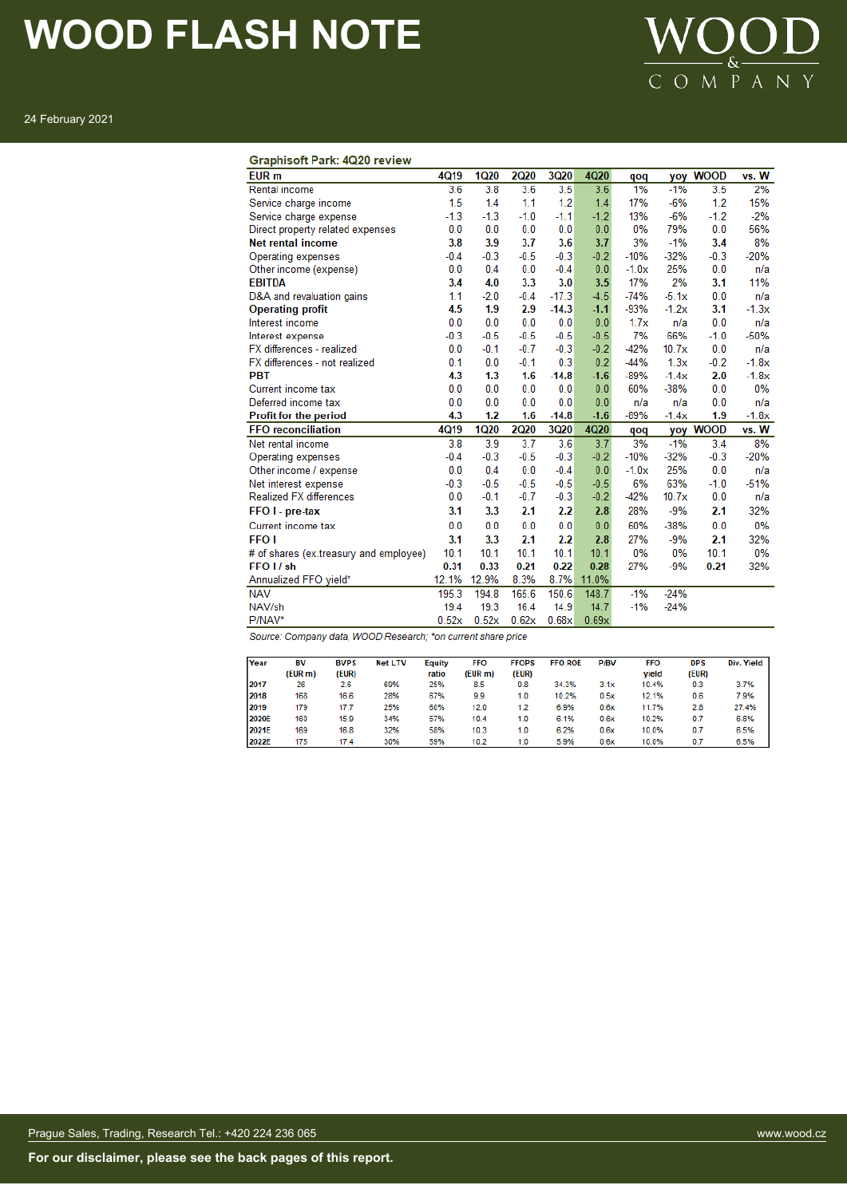

24 February 2021

#### **Graphisoft Park: 4Q20 review**

| EUR <sub>m</sub>                                             | 4Q19   | <b>1Q20</b> | <b>2Q20</b> | <b>3Q20</b> | 4Q20   | qoq     | yoy     | <b>WOOD</b> | vs. W   |
|--------------------------------------------------------------|--------|-------------|-------------|-------------|--------|---------|---------|-------------|---------|
| Rental income                                                | 3.6    | 3.8         | 3.6         | 3.5         | 3.6    | 1%      | $-1%$   | 3.5         | 2%      |
| Service charge income                                        | 1.5    | 1.4         | 1.1         | 1.2         | 1.4    | 17%     | $-6%$   | 1.2         | 15%     |
| Service charge expense                                       | $-1.3$ | $-1.3$      | $-1.0$      | $-1.1$      | $-1.2$ | 13%     | $-6%$   | $-1.2$      | $-2%$   |
| Direct property related expenses                             | 0.0    | 0.0         | 0.0         | 0.0         | 0.0    | 0%      | 79%     | 0.0         | 56%     |
| <b>Net rental income</b>                                     | 3.8    | 3.9         | 3.7         | 3.6         | 3.7    | 3%      | $-1%$   | 3.4         | 8%      |
| Operating expenses                                           | $-0.4$ | $-0.3$      | $-0.5$      | $-0.3$      | $-0.2$ | $-10%$  | $-32%$  | $-0.3$      | $-20%$  |
| Other income (expense)                                       | 0.0    | 0.4         | 0.0         | $-0.4$      | 0.0    | $-1.0x$ | 25%     | 0.0         | n/a     |
| <b>EBITDA</b>                                                | 3.4    | 4.0         | 3.3         | 3.0         | 3.5    | 17%     | 2%      | 3.1         | 11%     |
| D&A and revaluation gains                                    | 1.1    | $-2.0$      | $-0.4$      | $-17.3$     | $-4.5$ | $-74%$  | $-5.1x$ | 0.0         | n/a     |
| <b>Operating profit</b>                                      | 4.5    | 1.9         | 2.9         | $-14.3$     | $-1.1$ | $-93%$  | $-1.2x$ | 3.1         | $-1.3x$ |
| Interest income                                              | 0.0    | 0.0         | 0.0         | 0.0         | 0.0    | 1.7x    | n/a     | 0.0         | n/a     |
| Interest expense                                             | $-0.3$ | $-0.5$      | $-0.5$      | $-0.5$      | $-0.5$ | 7%      | 66%     | $-1.0$      | $-50%$  |
| FX differences - realized                                    | 0.0    | $-0.1$      | $-0.7$      | $-0.3$      | $-0.2$ | $-42%$  | 10.7x   | 0.0         | n/a     |
| FX differences - not realized                                | 0.1    | 0.0         | $-0.1$      | 0.3         | 0.2    | $-44%$  | 1.3x    | $-0.2$      | $-1.8x$ |
| <b>PBT</b>                                                   | 4.3    | 1.3         | 1.6         | $-14.8$     | $-1.6$ | $-89%$  | $-1.4x$ | 2.0         | $-1.8x$ |
| Current income tax                                           | 0.0    | 0.0         | 0.0         | 0.0         | 0.0    | 60%     | $-38%$  | 0.0         | 0%      |
| Deferred income tax                                          | 0.0    | 0.0         | 0.0         | 0.0         | 0.0    | n/a     | n/a     | 0.0         | n/a     |
| Profit for the period                                        | 4.3    | 1.2         | 1.6         | $-14.8$     | $-1.6$ | $-89%$  | $-1.4x$ | 1.9         | $-1.8x$ |
| <b>FFO</b> reconciliation                                    | 4Q19   | <b>1Q20</b> | <b>2Q20</b> | 3Q20        | 4Q20   | qoq     |         | yoy WOOD    | vs. W   |
| Net rental income                                            | 3.8    | 3.9         | 3.7         | 3.6         | 3.7    | 3%      | $-1%$   | 3.4         | 8%      |
| Operating expenses                                           | $-0.4$ | $-0.3$      | $-0.5$      | $-0.3$      | $-0.2$ | $-10%$  | $-32%$  | $-0.3$      | $-20%$  |
| Other income / expense                                       | 0.0    | 0.4         | 0.0         | $-0.4$      | 0.0    | $-1.0x$ | 25%     | 0.0         | n/a     |
| Net interest expense                                         | $-0.3$ | $-0.5$      | $-0.5$      | $-0.5$      | $-0.5$ | 6%      | 63%     | $-1.0$      | $-51%$  |
| <b>Realized FX differences</b>                               | 0.0    | $-0.1$      | $-0.7$      | $-0.3$      | $-0.2$ | $-42%$  | 10.7x   | 0.0         | n/a     |
| FFO I - pre-tax                                              | 3.1    | 3.3         | 2.1         | 2.2         | 2.8    | 28%     | $-9%$   | 2.1         | 32%     |
| Current income tax                                           | 0.0    | 0.0         | 0.0         | 0.0         | 0.0    | 60%     | $-38%$  | 0.0         | 0%      |
| <b>FFO1</b>                                                  | 3.1    | 3.3         | 2.1         | 2.2         | 2.8    | 27%     | $-9%$   | 2.1         | 32%     |
| # of shares (ex.treasury and employee)                       | 10.1   | 10.1        | 10.1        | 10.1        | 10.1   | 0%      | 0%      | 10.1        | 0%      |
| FFO I / sh                                                   | 0.31   | 0.33        | 0.21        | 0.22        | 0.28   | 27%     | $-9%$   | 0.21        | 32%     |
| Annualized FFO yield*                                        | 12.1%  | 12.9%       | 8.3%        | 8.7%        | 11.0%  |         |         |             |         |
| <b>NAV</b>                                                   | 195.3  | 194.8       | 165.6       | 150.6       | 148.7  | $-1%$   | $-24%$  |             |         |
| NAV/sh                                                       | 19.4   | 19.3        | 16.4        | 14.9        | 14.7   | $-1%$   | $-24%$  |             |         |
| P/NAV*                                                       | 0.52x  | 0.52x       | 0.62x       | 0.68x       | 0.69x  |         |         |             |         |
| Source: Company data, WOOD Research; *on current share price |        |             |             |             |        |         |         |             |         |

Year BV **BVPS Net LTV** Equity **FFO FFOPS FFO ROE P/BV FFO DPS** Div. Yield  $\frac{1}{25\%}$ yield<br>10.4% (EUR m)  $(EUR)$ (EUR m) (EUR) (EUR) 2017 69% 34.3%  $3.7%$  $3.1x$ 26  $26$ 8.5  $0.8$  $0.3$  $2018$  $168$  $16.6$ 28%  $67%$  $9.9$  $10.2%$  $12.1%$  $0.6$ 7.9%  $1.0$  $0.5x$ 2019  $179$  $\frac{1}{17.7}$ 25% 60%  $12.0$  $\overline{1.2}$ 6.9%  $0.6x$ 11.7%  $2.8$ 27.4% 2020E 160 15.9 34% 57%  $10.4$  $1.0$  $6.1%$  $0.6x$ 10.2%  $0.7$ 6.6% 2021E 169 16.8 32% 58%  $10.3$  $1.0$ 6.2%  $0.6x$ 10.0%  $0.7$ 6.5% 59% 5.9% 10.0% 6.5% 2022E 175  $17.4$ 30%  $10.2$  $1.0$  $0.6x$  $0.7$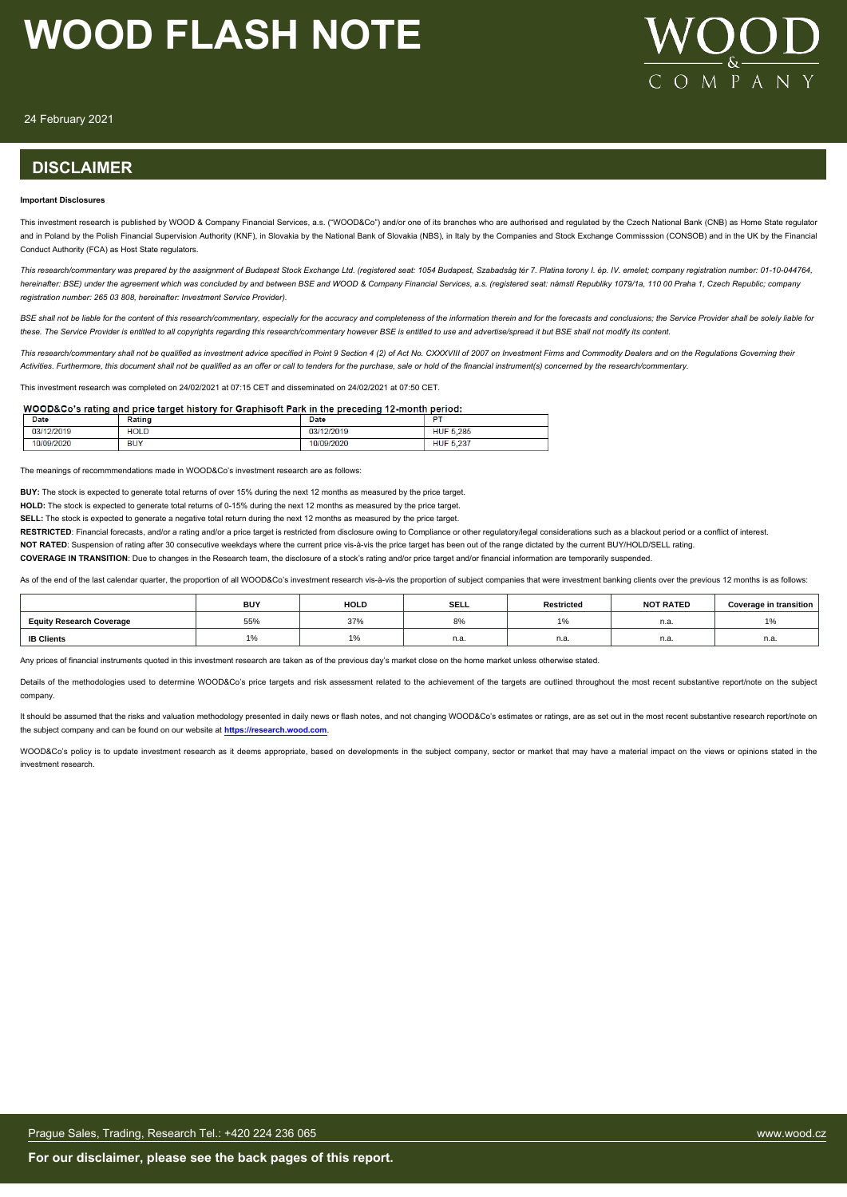

24 February 2021

#### **DISCLAIMER**

#### **Important Disclosures**

This investment research is published by WOOD & Company Financial Services, a.s. ("WOOD&Co") and/or one of its branches who are authorised and regulated by the Czech National Bank (CNB) as Home State regulator and in Poland by the Polish Financial Supervision Authority (KNF), in Slovakia by the National Bank of Slovakia (NBS), in Italy by the Companies and Stock Exchange Commisssion (CONSOB) and in the UK by the Financial Conduct Authority (FCA) as Host State regulators.

*This research/commentary was prepared by the assignment of Budapest Stock Exchange Ltd. (registered seat: 1054 Budapest, Szabadság tér 7. Platina torony I. ép. IV. emelet; company registration number: 01-10-044764, hereinafter: BSE) under the agreement which was concluded by and between BSE and WOOD & Company Financial Services, a.s. (registered seat: námstí Republiky 1079/1a, 110 00 Praha 1, Czech Republic; company registration number: 265 03 808, hereinafter: Investment Service Provider).*

BSE shall not be liable for the content of this research/commentary, especially for the accuracy and completeness of the information therein and for the forecasts and conclusions; the Service Provider shall be solely liabl *these. The Service Provider is entitled to all copyrights regarding this research/commentary however BSE is entitled to use and advertise/spread it but BSE shall not modify its content.*

*This research/commentary shall not be qualified as investment advice specified in Point 9 Section 4 (2) of Act No. CXXXVIII of 2007 on Investment Firms and Commodity Dealers and on the Regulations Governing their Activities. Furthermore, this document shall not be qualified as an offer or call to tenders for the purchase, sale or hold of the financial instrument(s) concerned by the research/commentary.*

This investment research was completed on 24/02/2021 at 07:15 CET and disseminated on 24/02/2021 at 07:50 CET.

#### WOOD&Co's rating and price target history for Graphisoft Park in the preceding 12-month period:

| Date           | Ratinç            | Date          | m                         |
|----------------|-------------------|---------------|---------------------------|
| 12/2019<br>03/ | <b>HOLD</b>       | 2/2019<br>nn. | 5.285<br><b>HUF</b>       |
| 3/2020<br>10/0 | <b>DUM</b><br>ושם | 09/2020       | 007<br><b>HUF</b><br>U.ZO |

The meanings of recommmendations made in WOOD&Co's investment research are as follows:

**BUY:** The stock is expected to generate total returns of over 15% during the next 12 months as measured by the price target.

**HOLD:** The stock is expected to generate total returns of 0-15% during the next 12 months as measured by the price target.

**SELL:** The stock is expected to generate a negative total return during the next 12 months as measured by the price target.

RESTRICTED: Financial forecasts, and/or a rating and/or a price target is restricted from disclosure owing to Compliance or other regulatory/legal considerations such as a blackout period or a conflict of interest.

**NOT RATED**: Suspension of rating after 30 consecutive weekdays where the current price vis-à-vis the price target has been out of the range dictated by the current BUY/HOLD/SELL rating.

**COVERAGE IN TRANSITION**: Due to changes in the Research team, the disclosure of a stock's rating and/or price target and/or financial information are temporarily suspended.

As of the end of the last calendar quarter, the proportion of all WOOD&Co's investment research vis-à-vis the proportion of subject companies that were investment banking clients over the previous 12 months is as follows:

|                                 | <b>BUY</b> | <b>HOLD</b>              | <b>SELL</b> | <b>Restricted</b>                                         | <b>NOT RATED</b> | <b>Coverage in transition</b> |
|---------------------------------|------------|--------------------------|-------------|-----------------------------------------------------------|------------------|-------------------------------|
| <b>Equity Research Coverage</b> | 55%        | 37%                      | 8%          | $\overline{A}$ $\overline{A}$<br>$\overline{\phantom{a}}$ | n.a.             | 1%                            |
| <b>IB Clients</b>               | . , .      | $\Delta$ $\Omega$<br>1/0 | n.a.        | n.a.                                                      | n.a.             | n.a.                          |

Any prices of financial instruments quoted in this investment research are taken as of the previous day's market close on the home market unless otherwise stated.

Details of the methodologies used to determine WOOD&Co's price targets and risk assessment related to the achievement of the targets are outlined throughout the most recent substantive report/note on the subject company.

It should be assumed that the risks and valuation methodology presented in daily news or flash notes, and not changing WOOD&Co's estimates or ratings, are as set out in the most recent substantive research report/note on the subject company and can be found on our website at **[https://research.wood.com](https://research.wood.com/)**.

WOOD&Co's policy is to update investment research as it deems appropriate, based on developments in the subject company, sector or market that may have a material impact on the views or opinions stated in the investment research.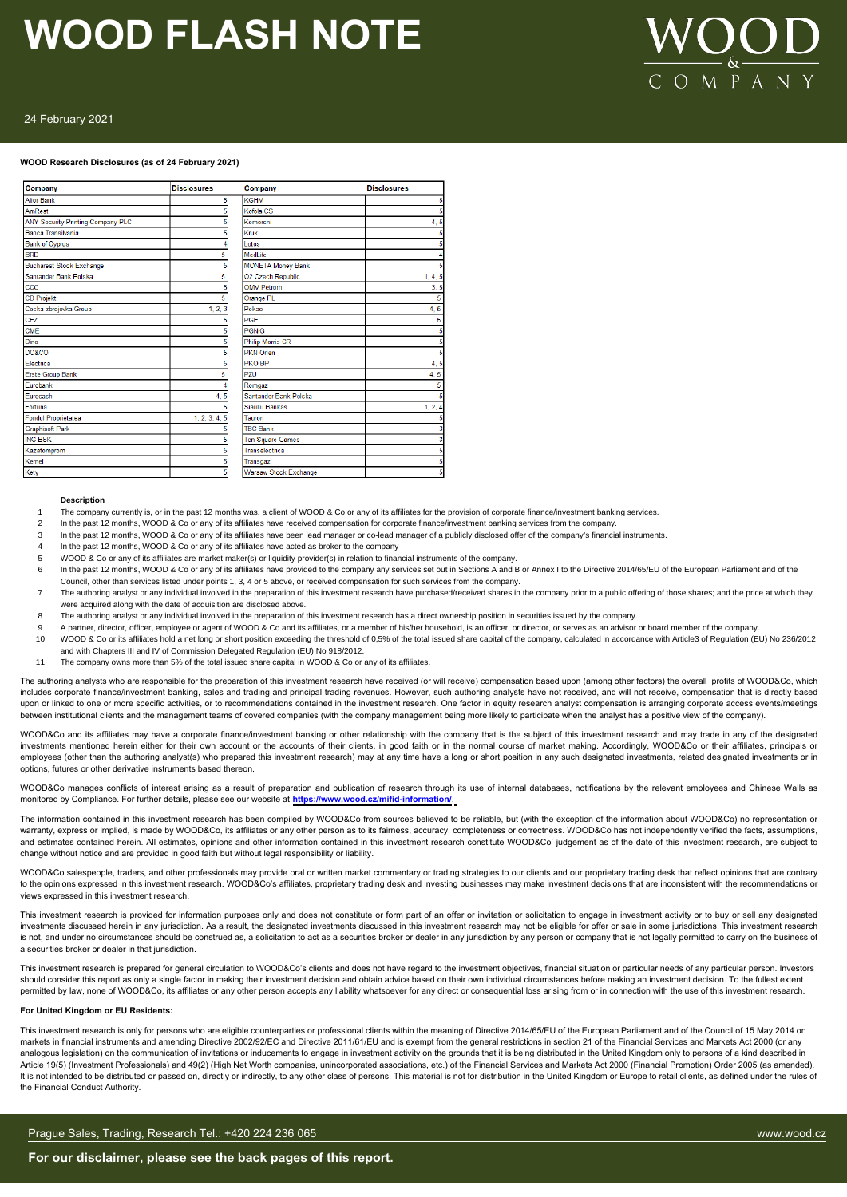

#### 24 February 2021

#### **WOOD Research Disclosures (as of 24 February 2021)**

| Company                           | <b>Disclosures</b> | Company                      | <b>Disclosures</b> |
|-----------------------------------|--------------------|------------------------------|--------------------|
| <b>Alior Bank</b>                 | 5                  | <b>KGHM</b>                  |                    |
| AmRest                            |                    | Kofola CS                    |                    |
| ANY Security Printing Company PLC |                    | Komercni                     | 4.5                |
| Banca Transilvania                |                    | Kruk                         |                    |
| <b>Bank of Cyprus</b>             |                    | Lotos                        |                    |
| <b>BRD</b>                        | 5                  | MedLife                      |                    |
| <b>Bucharest Stock Exchange</b>   |                    | <b>MONETA Money Bank</b>     |                    |
| Santander Bank Polska             | 5                  | <b>O2 Czech Republic</b>     | 1, 4, 5            |
| ccc                               |                    | <b>OMV Petrom</b>            | 3, 5               |
| <b>CD Projekt</b>                 | 5                  | Orange PL                    |                    |
| Ceska zbrojovka Group             | 1, 2, 3            | Pekao                        | 4, 5               |
| CEZ                               |                    | <b>PGE</b>                   |                    |
| <b>CME</b>                        |                    | PGNiG                        |                    |
| Dino                              |                    | <b>Philip Morris CR</b>      |                    |
| DO&CO                             |                    | <b>PKN Orlen</b>             |                    |
| Flectrica                         |                    | <b>PKO BP</b>                | 4,5                |
| <b>Erste Group Bank</b>           | 5                  | PZU                          | 4,5                |
| Eurobank                          |                    | Romgaz                       |                    |
| Eurocash                          | 4, 5               | Santander Bank Polska        |                    |
| Fortuna                           |                    | Siauliu Bankas               | 1, 2, 4            |
| <b>Fondul Proprietatea</b>        | 1, 2, 3, 4, 5      | Tauron                       |                    |
| <b>Graphisoft Park</b>            |                    | <b>TBC Bank</b>              |                    |
| <b>ING BSK</b>                    |                    | <b>Ten Square Games</b>      |                    |
| Kazatomprom                       |                    | Transelectrica               |                    |
| Kernel                            |                    | Transgaz                     |                    |
| Ketv                              | F                  | <b>Warsaw Stock Exchange</b> |                    |

#### **Description**

- The company currently is, or in the past 12 months was, a client of WOOD & Co or any of its affiliates for the provision of corporate finance/investment banking services.
- In the past 12 months, WOOD & Co or any of its affiliates have received compensation for corporate finance/investment banking services from the company.
- 3 In the past 12 months, WOOD & Co or any of its affiliates have been lead manager or co-lead manager of a publicly disclosed offer of the company's financial instruments.
- In the past 12 months, WOOD & Co or any of its affiliates have acted as broker to the company
- 5 WOOD & Co or any of its affiliates are market maker(s) or liquidity provider(s) in relation to financial instruments of the company.
- 6 In the past 12 months, WOOD & Co or any of its affiliates have provided to the company any services set out in Sections A and B or Annex I to the Directive 2014/65/EU of the European Parliament and of the Council, other than services listed under points 1, 3, 4 or 5 above, or received compensation for such services from the company.
- 7 The authoring analyst or any individual involved in the preparation of this investment research have purchased/received shares in the company prior to a public offering of those shares; and the price at which they were acquired along with the date of acquisition are disclosed above.
- 8 The authoring analyst or any individual involved in the preparation of this investment research has a direct ownership position in securities issued by the company.
- 9 A partner, director, officer, employee or agent of WOOD & Co and its affiliates, or a member of this/her household, is an officer, or director, or serves as an advisor or board member of the company.<br>10 WOOD & Co or its
- WOOD & Co or its affiliates hold a net long or short position exceeding the threshold of 0,5% of the total issued share capital of the company, calculated in accordance with Article3 of Regulation (EU) No 236/2012 and with Chapters III and IV of Commission Delegated Regulation (EU) No 918/2012.
- 11 The company owns more than 5% of the total issued share capital in WOOD & Co or any of its affiliates.

The authoring analysts who are responsible for the preparation of this investment research have received (or will receive) compensation based upon (among other factors) the overall profits of WOOD&Co, which includes corporate finance/investment banking, sales and trading and principal trading revenues. However, such authoring analysts have not received, and will not receive, compensation that is directly based upon or linked to one or more specific activities, or to recommendations contained in the investment research. One factor in equity research analyst compensation is arranging corporate access events/meetings between institutional clients and the management teams of covered companies (with the company management being more likely to participate when the analyst has a positive view of the company).

WOOD&Co and its affiliates may have a corporate finance/investment banking or other relationship with the company that is the subject of this investment research and may trade in any of the designated investments mentioned herein either for their own account or the accounts of their clients, in good faith or in the normal course of market making. Accordingly, WOOD&Co or their affiliates, principals or employees (other than the authoring analyst(s) who prepared this investment research) may at any time have a long or short position in any such designated investments, related designated investments or in options, futures or other derivative instruments based thereon.

WOOD&Co manages conflicts of interest arising as a result of preparation and publication of research through its use of internal databases, notifications by the relevant employees and Chinese Walls as monitored by Compliance. For further details, please see our website at **https://www.wood.cz/mifid-information/**.

The information contained in this investment research has been compiled by WOOD&Co from sources believed to be reliable, but (with the exception of the information about WOOD&Co) no representation or warranty, express or implied, is made by WOOD&Co, its affiliates or any other person as to its fairness, accuracy, completeness or correctness. WOOD&Co has not independently verified the facts, assumptions, and estimates contained herein. All estimates, opinions and other information contained in this investment research constitute WOOD&Co' judgement as of the date of this investment research, are subject to change without notice and are provided in good faith but without legal responsibility or liability.

WOOD&Co salespeople, traders, and other professionals may provide oral or written market commentary or trading strategies to our clients and our proprietary trading desk that reflect opinions that are contrary<br>to the opini views expressed in this investment research.

This investment research is provided for information purposes only and does not constitute or form part of an offer or invitation or solicitation to engage in investment activity or to buy or sell any designated investments discussed herein in any jurisdiction. As a result, the designated investments discussed in this investment research may not be eligible for offer or sale in some jurisdictions. This investment research is not, and under no circumstances should be construed as, a solicitation to act as a securities broker or dealer in any jurisdiction by any person or company that is not legally permitted to carry on the business of a securities broker or dealer in that jurisdiction.

This investment research is prepared for general circulation to WOOD&Co's clients and does not have regard to the investment objectives, financial situation or particular needs of any particular person. Investors should consider this report as only a single factor in making their investment decision and obtain advice based on their own individual circumstances before making an investment decision. To the fullest extent permitted by law, none of WOOD&Co, its affiliates or any other person accepts any liability whatsoever for any direct or consequential loss arising from or in connection with the use of this investment research.

#### **For United Kingdom or EU Residents:**

This investment research is only for persons who are eligible counterparties or professional clients within the meaning of Directive 2014/65/EU of the European Parliament and of the Council of 15 May 2014 on markets in financial instruments and amending Directive 2002/92/EC and Directive 2011/61/EU and is exempt from the general restrictions in section 21 of the Financial Services and Markets Act 2000 (or any analogous legislation) on the communication of invitations or inducements to engage in investment activity on the grounds that it is being distributed in the United Kingdom only to persons of a kind described in Article 19(5) (Investment Professionals) and 49(2) (High Net Worth companies, unincorporated associations, etc.) of the Financial Services and Markets Act 2000 (Financial Promotion) Order 2005 (as amended). It is not intended to be distributed or passed on, directly or indirectly, to any other class of persons. This material is not for distribution in the United Kingdom or Europe to retail clients, as defined under the rules the Financial Conduct Authority.

#### Prague Sales, Trading, Research Tel.: +420 224 236 065 www.wood.cz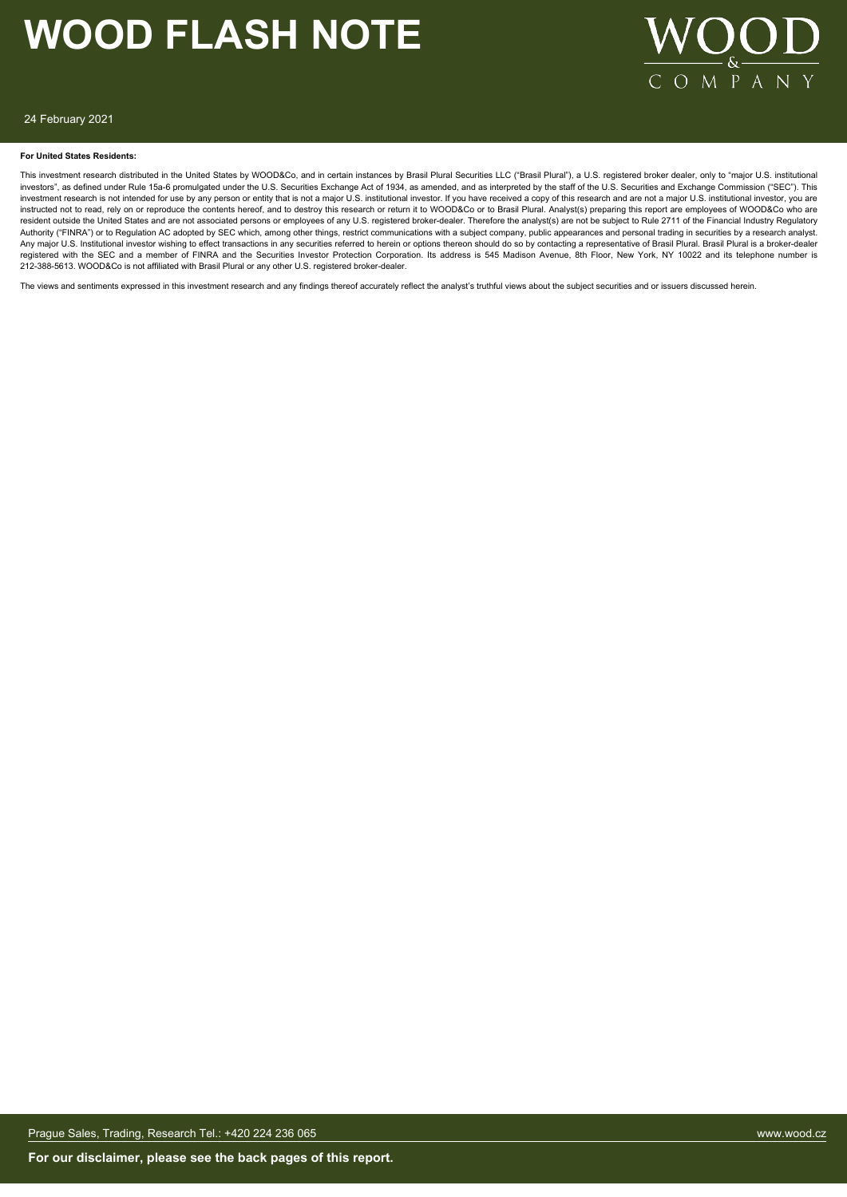

#### 24 February 2021

#### **For United States Residents:**

This investment research distributed in the United States by WOOD&Co, and in certain instances by Brasil Plural Securities LLC ("Brasil Plural"), a U.S. registered broker dealer, only to "major U.S. institutional investors", as defined under Rule 15a-6 promulgated under the U.S. Securities Exchange Act of 1934, as amended, and as interpreted by the staff of the U.S. Securities and Exchange Commission ("SEC"). This investment research is not intended for use by any person or entity that is not a major U.S. institutional investor. If you have received a copy of this research and are not a major U.S. institutional investor, you are instructed not to read, rely on or reproduce the contents hereof, and to destroy this research or return it to WOOD&Co or to Brasil Plural. Analyst(s) preparing this report are employees of WOOD&Co who are<br>resident outside Authority ("FINRA") or to Regulation AC adopted by SEC which, among other things, restrict communications with a subject company, public appearances and personal trading in securities by a research analyst. Any major U.S. Institutional investor wishing to effect transactions in any securities referred to herein or options thereon should do so by contacting a representative of Brasil Plural. Brasil Plural is a broker-dealer registered with the SEC and a member of FINRA and the Securities Investor Protection Corporation. Its address is 545 Madison Avenue, 8th Floor, New York, NY 10022 and its telephone number is 212-388-5613. WOOD&Co is not affiliated with Brasil Plural or any other U.S. registered broker-dealer.

The views and sentiments expressed in this investment research and any findings thereof accurately reflect the analyst's truthful views about the subject securities and or issuers discussed herein.